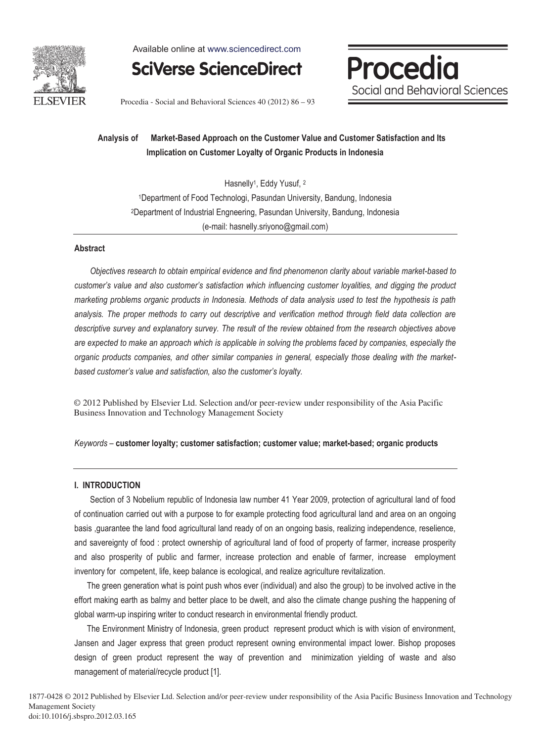

Available online at www.sciencedirect.com

**SciVerse ScienceDirect** 

Procedia Social and Behavioral Sciences

Procedia - Social and Behavioral Sciences 40 (2012) 86 - 93

## **Analysis of Market-Based Approach on the Customer Value and Customer Satisfaction and Its Implication on Customer Loyalty of Organic Products in Indonesia**

Hasnelly<sup>1</sup>, Eddy Yusuf, <sup>2</sup> 1Department of Food Technologi, Pasundan University, Bandung, Indonesia 2Department of Industrial Engneering, Pasundan University, Bandung, Indonesia (e-mail: hasnelly.sriyono@gmail.com)

### **Abstract**

*Objectives research to obtain empirical evidence and find phenomenon clarity about variable market-based to customer's value and also customer's satisfaction which influencing customer loyalities, and digging the product marketing problems organic products in Indonesia. Methods of data analysis used to test the hypothesis is path analysis. The proper methods to carry out descriptive and verification method through field data collection are descriptive survey and explanatory survey. The result of the review obtained from the research objectives above are expected to make an approach which is applicable in solving the problems faced by companies, especially the organic products companies, and other similar companies in general, especially those dealing with the marketbased customer's value and satisfaction, also the customer's loyalty.* 

© 2012 Published by Elsevier Ltd. Selection and/or peer-review under responsibility of the Asia Pacific Business Innovation and Technology Management Society

#### *Keywords* – **customer loyalty; customer satisfaction; customer value; market-based; organic products**

#### **I. INTRODUCTION**

 Section of 3 Nobelium republic of Indonesia law number 41 Year 2009, protection of agricultural land of food of continuation carried out with a purpose to for example protecting food agricultural land and area on an ongoing basis ,guarantee the land food agricultural land ready of on an ongoing basis, realizing independence, reselience, and savereignty of food : protect ownership of agricultural land of food of property of farmer, increase prosperity and also prosperity of public and farmer, increase protection and enable of farmer, increase employment inventory for competent, life, keep balance is ecological, and realize agriculture revitalization.

 The green generation what is point push whos ever (individual) and also the group) to be involved active in the effort making earth as balmy and better place to be dwelt, and also the climate change pushing the happening of global warm-up inspiring writer to conduct research in environmental friendly product.

 The Environment Ministry of Indonesia, green product represent product which is with vision of environment, Jansen and Jager express that green product represent owning environmental impact lower. Bishop proposes design of green product represent the way of prevention and minimization yielding of waste and also management of material/recycle product [1].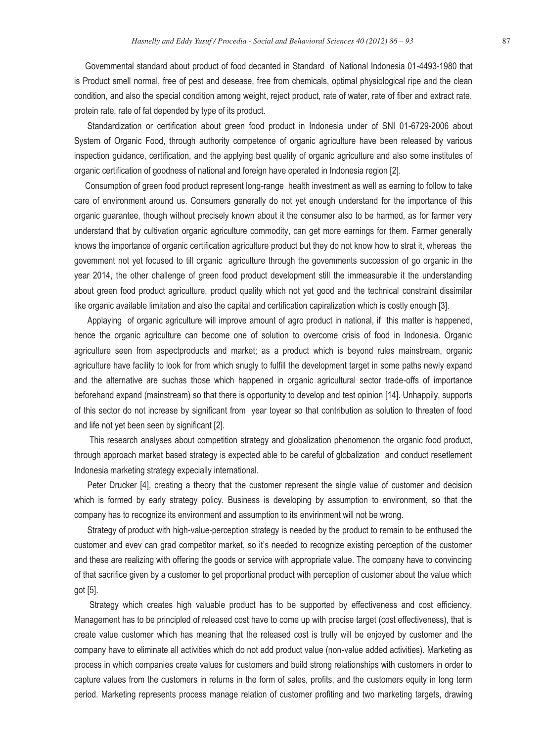Govemmental standard about product of food decanted in Standard of National Indonesia 01-4493-1980 that is Product smell normal, free of pest and desease, free from chemicals, optimal physiological ripe and the clean condition, and also the special condition among weight, reject product, rate of water, rate of fiber and extract rate, protein rate, rate of fat depended by type of its product.

 Standardization or certification about green food product in Indonesia under of SNI 01-6729-2006 about System of Organic Food, through authority competence of organic agriculture have been released by various inspection guidance, certification, and the applying best quality of organic agriculture and also some institutes of organic certification of goodness of national and foreign have operated in Indonesia region [2].

 Consumption of green food product represent long-range health investment as well as earning to follow to take care of environment around us. Consumers generally do not yet enough understand for the importance of this organic guarantee, though without precisely known about it the consumer also to be harmed, as for farmer very understand that by cultivation organic agriculture commodity, can get more earnings for them. Farmer generally knows the importance of organic certification agriculture product but they do not know how to strat it, whereas the govemment not yet focused to till organic agriculture through the govemments succession of go organic in the year 2014, the other challenge of green food product development still the immeasurable it the understanding about green food product agriculture, product quality which not yet good and the technical constraint dissimilar like organic available limitation and also the capital and certification capiralization which is costly enough [3].

 Applaying of organic agriculture will improve amount of agro product in national, if this matter is happened, hence the organic agriculture can become one of solution to overcome crisis of food in Indonesia. Organic agriculture seen from aspectproducts and market; as a product which is beyond rules mainstream, organic agriculture have facility to look for from which snugly to fulfill the development target in some paths newly expand and the alternative are suchas those which happened in organic agricultural sector trade-offs of importance beforehand expand (mainstream) so that there is opportunity to develop and test opinion [14]. Unhappily, supports of this sector do not increase by significant from year toyear so that contribution as solution to threaten of food and life not yet been seen by significant [2].

 This research analyses about competition strategy and globalization phenomenon the organic food product, through approach market based strategy is expected able to be careful of globalization and conduct resetlement Indonesia marketing strategy expecially international.

 Peter Drucker [4], creating a theory that the customer represent the single value of customer and decision which is formed by early strategy policy. Business is developing by assumption to environment, so that the company has to recognize its environment and assumption to its envirinment will not be wrong.

 Strategy of product with high-value-perception strategy is needed by the product to remain to be enthused the customer and evev can grad competitor market, so it's needed to recognize existing perception of the customer and these are realizing with offering the goods or service with appropriate value. The company have to convincing of that sacrifice given by a customer to get proportional product with perception of customer about the value which got [5].

 Strategy which creates high valuable product has to be supported by effectiveness and cost efficiency. Management has to be principled of released cost have to come up with precise target (cost effectiveness), that is create value customer which has meaning that the released cost is trully will be enjoyed by customer and the company have to eliminate all activities which do not add product value (non-value added activities). Marketing as process in which companies create values for customers and build strong relationships with customers in order to capture values from the customers in returns in the form of sales, profits, and the customers equity in long term period. Marketing represents process manage relation of customer profiting and two marketing targets, drawing